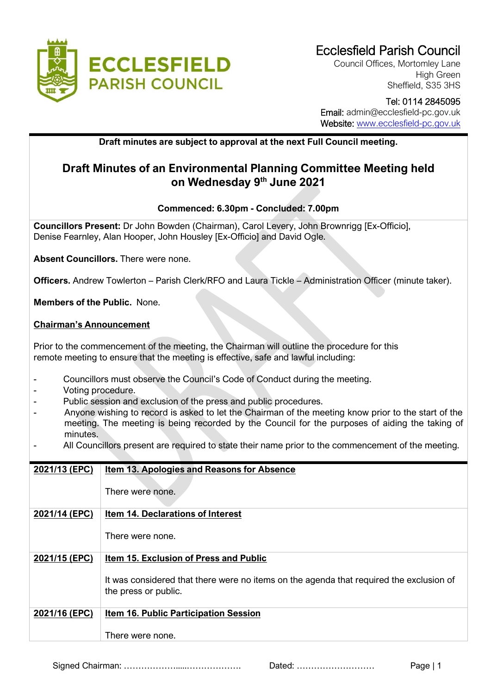

Council Offices, Mortomley Lane High Green Sheffield, S35 3HS

# Tel: 0114 2845095

 Email: admin@ecclesfield-pc.gov.uk Website: [www.ecclesfield-pc.gov.uk](http://www.ecclesfield-pc.gov.uk/)

### **Draft minutes are subject to approval at the next Full Council meeting.**

## **Draft Minutes of an Environmental Planning Committee Meeting held on Wednesday 9th June 2021**

### **Commenced: 6.30pm - Concluded: 7.00pm**

**Councillors Present:** Dr John Bowden (Chairman), Carol Levery, John Brownrigg [Ex-Officio], Denise Fearnley, Alan Hooper, John Housley [Ex-Officio] and David Ogle.

**Absent Councillors.** There were none.

**Officers.** Andrew Towlerton – Parish Clerk/RFO and Laura Tickle – Administration Officer (minute taker).

**Members of the Public.** None.

#### **Chairman's Announcement**

Prior to the commencement of the meeting, the Chairman will outline the procedure for this remote meeting to ensure that the meeting is effective, safe and lawful including:

- Councillors must observe the Council's Code of Conduct during the meeting.
- Voting procedure.
- Public session and exclusion of the press and public procedures.
- Anyone wishing to record is asked to let the Chairman of the meeting know prior to the start of the meeting. The meeting is being recorded by the Council for the purposes of aiding the taking of minutes.
- All Councillors present are required to state their name prior to the commencement of the meeting.

| 2021/13 (EPC) | Item 13. Apologies and Reasons for Absence                                                                      |
|---------------|-----------------------------------------------------------------------------------------------------------------|
|               | There were none.                                                                                                |
| 2021/14 (EPC) | <b>Item 14. Declarations of Interest</b>                                                                        |
|               | There were none.                                                                                                |
| 2021/15 (EPC) | Item 15. Exclusion of Press and Public                                                                          |
|               | It was considered that there were no items on the agenda that required the exclusion of<br>the press or public. |
| 2021/16 (EPC) | <b>Item 16. Public Participation Session</b>                                                                    |
|               | There were none.                                                                                                |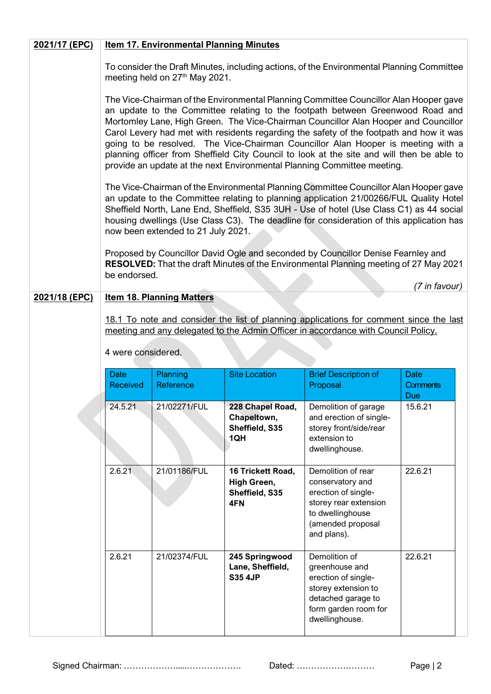| 2021/17 (EPC) | <b>Item 17. Environmental Planning Minutes</b>                                                                                                                                                                                                                                                                                                                                                                                                                                                                                                                                                                        |                                            |                                                           |                                                                                                                                                                                                                                                                                                                                                                         |                        |
|---------------|-----------------------------------------------------------------------------------------------------------------------------------------------------------------------------------------------------------------------------------------------------------------------------------------------------------------------------------------------------------------------------------------------------------------------------------------------------------------------------------------------------------------------------------------------------------------------------------------------------------------------|--------------------------------------------|-----------------------------------------------------------|-------------------------------------------------------------------------------------------------------------------------------------------------------------------------------------------------------------------------------------------------------------------------------------------------------------------------------------------------------------------------|------------------------|
|               |                                                                                                                                                                                                                                                                                                                                                                                                                                                                                                                                                                                                                       | meeting held on 27 <sup>th</sup> May 2021. |                                                           | To consider the Draft Minutes, including actions, of the Environmental Planning Committee                                                                                                                                                                                                                                                                               |                        |
|               | The Vice-Chairman of the Environmental Planning Committee Councillor Alan Hooper gave<br>an update to the Committee relating to the footpath between Greenwood Road and<br>Mortomley Lane, High Green. The Vice-Chairman Councillor Alan Hooper and Councillor<br>Carol Levery had met with residents regarding the safety of the footpath and how it was<br>going to be resolved. The Vice-Chairman Councillor Alan Hooper is meeting with a<br>planning officer from Sheffield City Council to look at the site and will then be able to<br>provide an update at the next Environmental Planning Committee meeting. |                                            |                                                           |                                                                                                                                                                                                                                                                                                                                                                         |                        |
|               |                                                                                                                                                                                                                                                                                                                                                                                                                                                                                                                                                                                                                       | now been extended to 21 July 2021.         |                                                           | The Vice-Chairman of the Environmental Planning Committee Councillor Alan Hooper gave<br>an update to the Committee relating to planning application 21/00266/FUL Quality Hotel<br>Sheffield North, Lane End, Sheffield, S35 3UH - Use of hotel (Use Class C1) as 44 social<br>housing dwellings (Use Class C3). The deadline for consideration of this application has |                        |
|               | be endorsed.                                                                                                                                                                                                                                                                                                                                                                                                                                                                                                                                                                                                          |                                            |                                                           | Proposed by Councillor David Ogle and seconded by Councillor Denise Fearnley and<br>RESOLVED: That the draft Minutes of the Environmental Planning meeting of 27 May 2021                                                                                                                                                                                               | (7 in favour)          |
| 2021/18 (EPC) |                                                                                                                                                                                                                                                                                                                                                                                                                                                                                                                                                                                                                       | <b>Item 18. Planning Matters</b>           |                                                           |                                                                                                                                                                                                                                                                                                                                                                         |                        |
|               | 18.1 To note and consider the list of planning applications for comment since the last<br>meeting and any delegated to the Admin Officer in accordance with Council Policy.<br>4 were considered.                                                                                                                                                                                                                                                                                                                                                                                                                     |                                            |                                                           |                                                                                                                                                                                                                                                                                                                                                                         |                        |
|               | <b>Date</b>                                                                                                                                                                                                                                                                                                                                                                                                                                                                                                                                                                                                           | Planning                                   | <b>Site Location</b>                                      | <b>Brief Description of</b>                                                                                                                                                                                                                                                                                                                                             | Date                   |
|               | <b>Received</b>                                                                                                                                                                                                                                                                                                                                                                                                                                                                                                                                                                                                       | Reference                                  |                                                           | Proposal                                                                                                                                                                                                                                                                                                                                                                | <b>Comments</b><br>Due |
|               | 24.5.21                                                                                                                                                                                                                                                                                                                                                                                                                                                                                                                                                                                                               | 21/02271/FUL                               | 228 Chapel Road,<br>Chapeltown,<br>Sheffield, S35<br>1QH  | Demolition of garage<br>and erection of single-<br>storey front/side/rear<br>extension to<br>dwellinghouse.                                                                                                                                                                                                                                                             | 15.6.21                |
|               | 2.6.21                                                                                                                                                                                                                                                                                                                                                                                                                                                                                                                                                                                                                | 21/01186/FUL                               | 16 Trickett Road,<br>High Green,<br>Sheffield, S35<br>4FN | Demolition of rear<br>conservatory and<br>erection of single-<br>storey rear extension<br>to dwellinghouse<br>(amended proposal<br>and plans).                                                                                                                                                                                                                          | 22.6.21                |
|               | 2.6.21                                                                                                                                                                                                                                                                                                                                                                                                                                                                                                                                                                                                                | 21/02374/FUL                               | 245 Springwood<br>Lane, Sheffield,<br><b>S35 4JP</b>      | Demolition of<br>greenhouse and<br>erection of single-<br>storey extension to<br>detached garage to<br>form garden room for<br>dwellinghouse.                                                                                                                                                                                                                           | 22.6.21                |

Signed Chairman: ……………….....………………. Dated: ……………………… Page | 2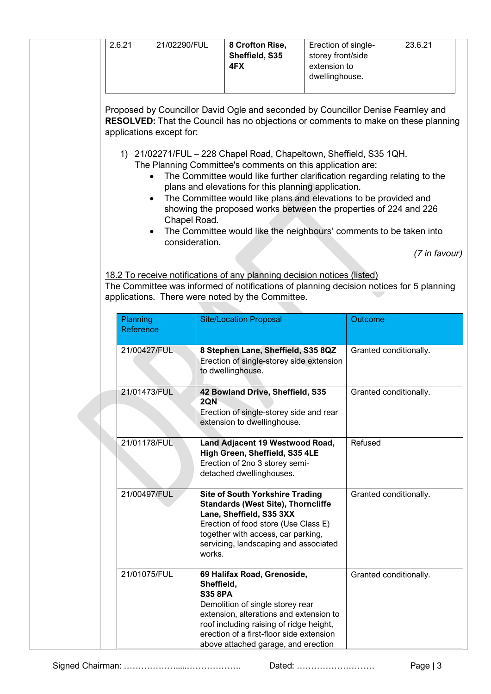|  | 2.6.21 | 21/02290/FUL | 8 Crofton Rise,<br>Sheffield, S35<br>4FX | Erection of single-<br>storey front/side<br>extension to<br>dwellinghouse. | 23.6.21 |  |
|--|--------|--------------|------------------------------------------|----------------------------------------------------------------------------|---------|--|
|--|--------|--------------|------------------------------------------|----------------------------------------------------------------------------|---------|--|

Proposed by Councillor David Ogle and seconded by Councillor Denise Fearnley and **RESOLVED:** That the Council has no objections or comments to make on these planning applications except for:

- 1) 21/02271/FUL 228 Chapel Road, Chapeltown, Sheffield, S35 1QH. The Planning Committee's comments on this application are:
	- The Committee would like further clarification regarding relating to the plans and elevations for this planning application.
	- The Committee would like plans and elevations to be provided and showing the proposed works between the properties of 224 and 226 Chapel Road.
	- The Committee would like the neighbours' comments to be taken into consideration.

*(7 in favour)*

18.2 To receive notifications of any planning decision notices (listed) The Committee was informed of notifications of planning decision notices for 5 planning applications. There were noted by the Committee.

| Planning<br>Reference |              | <b>Site/Location Proposal</b>                                                                                                                                                                                                                                            | Outcome                |
|-----------------------|--------------|--------------------------------------------------------------------------------------------------------------------------------------------------------------------------------------------------------------------------------------------------------------------------|------------------------|
|                       | 21/00427/FUL | 8 Stephen Lane, Sheffield, S35 8QZ<br>Erection of single-storey side extension<br>to dwellinghouse.                                                                                                                                                                      | Granted conditionally. |
|                       | 21/01473/FUL | 42 Bowland Drive, Sheffield, S35<br>2QN<br>Erection of single-storey side and rear<br>extension to dwellinghouse.                                                                                                                                                        | Granted conditionally. |
|                       | 21/01178/FUL | Land Adjacent 19 Westwood Road,<br>High Green, Sheffield, S35 4LE<br>Erection of 2no 3 storey semi-<br>detached dwellinghouses.                                                                                                                                          | Refused                |
|                       | 21/00497/FUL | <b>Site of South Yorkshire Trading</b><br><b>Standards (West Site), Thorncliffe</b><br>Lane, Sheffield, S35 3XX<br>Erection of food store (Use Class E)<br>together with access, car parking,<br>servicing, landscaping and associated<br>works.                         | Granted conditionally. |
|                       | 21/01075/FUL | 69 Halifax Road, Grenoside,<br>Sheffield,<br><b>S35 8PA</b><br>Demolition of single storey rear<br>extension, alterations and extension to<br>roof including raising of ridge height,<br>erection of a first-floor side extension<br>above attached garage, and erection | Granted conditionally. |

Signed Chairman: ……………….....………………. Dated: ……………………… Page | 3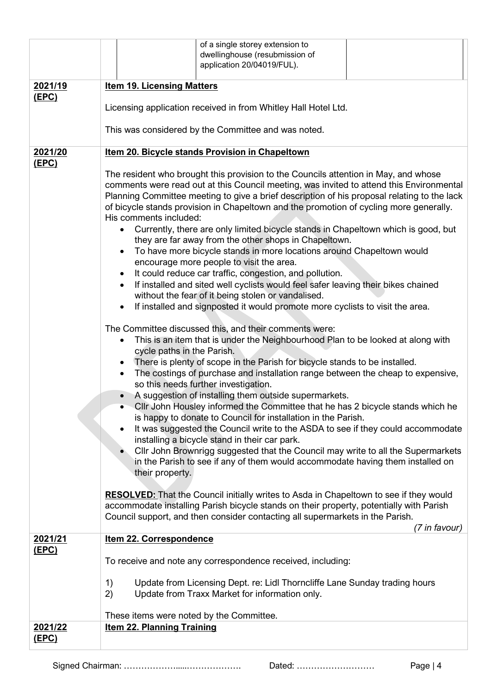|                         | of a single storey extension to<br>dwellinghouse (resubmission of                                                                                                                                                                                                                                                                                                                                                                                                                                                                                                                                                                                                                                                                                                                                                                                                                                                                                                                                                                                                                                                                                                                                                                             |  |  |  |  |
|-------------------------|-----------------------------------------------------------------------------------------------------------------------------------------------------------------------------------------------------------------------------------------------------------------------------------------------------------------------------------------------------------------------------------------------------------------------------------------------------------------------------------------------------------------------------------------------------------------------------------------------------------------------------------------------------------------------------------------------------------------------------------------------------------------------------------------------------------------------------------------------------------------------------------------------------------------------------------------------------------------------------------------------------------------------------------------------------------------------------------------------------------------------------------------------------------------------------------------------------------------------------------------------|--|--|--|--|
|                         | application 20/04019/FUL).                                                                                                                                                                                                                                                                                                                                                                                                                                                                                                                                                                                                                                                                                                                                                                                                                                                                                                                                                                                                                                                                                                                                                                                                                    |  |  |  |  |
| 2021/19                 | <b>Item 19. Licensing Matters</b>                                                                                                                                                                                                                                                                                                                                                                                                                                                                                                                                                                                                                                                                                                                                                                                                                                                                                                                                                                                                                                                                                                                                                                                                             |  |  |  |  |
| (EPC)                   | Licensing application received in from Whitley Hall Hotel Ltd.                                                                                                                                                                                                                                                                                                                                                                                                                                                                                                                                                                                                                                                                                                                                                                                                                                                                                                                                                                                                                                                                                                                                                                                |  |  |  |  |
|                         | This was considered by the Committee and was noted.                                                                                                                                                                                                                                                                                                                                                                                                                                                                                                                                                                                                                                                                                                                                                                                                                                                                                                                                                                                                                                                                                                                                                                                           |  |  |  |  |
| 2021/20<br>(EPC)        | Item 20. Bicycle stands Provision in Chapeltown                                                                                                                                                                                                                                                                                                                                                                                                                                                                                                                                                                                                                                                                                                                                                                                                                                                                                                                                                                                                                                                                                                                                                                                               |  |  |  |  |
|                         | The resident who brought this provision to the Councils attention in May, and whose<br>comments were read out at this Council meeting, was invited to attend this Environmental<br>Planning Committee meeting to give a brief description of his proposal relating to the lack<br>of bicycle stands provision in Chapeltown and the promotion of cycling more generally.<br>His comments included:<br>Currently, there are only limited bicycle stands in Chapeltown which is good, but<br>they are far away from the other shops in Chapeltown.<br>To have more bicycle stands in more locations around Chapeltown would<br>encourage more people to visit the area.<br>It could reduce car traffic, congestion, and pollution.<br>$\bullet$<br>If installed and sited well cyclists would feel safer leaving their bikes chained<br>$\bullet$<br>without the fear of it being stolen or vandalised.<br>If installed and signposted it would promote more cyclists to visit the area.                                                                                                                                                                                                                                                        |  |  |  |  |
|                         | The Committee discussed this, and their comments were:<br>This is an item that is under the Neighbourhood Plan to be looked at along with<br>cycle paths in the Parish.<br>There is plenty of scope in the Parish for bicycle stands to be installed.<br>$\bullet$<br>The costings of purchase and installation range between the cheap to expensive,<br>$\bullet$<br>so this needs further investigation.<br>A suggestion of installing them outside supermarkets.<br>$\bullet$<br>CIIr John Housley informed the Committee that he has 2 bicycle stands which he<br>is happy to donate to Council for installation in the Parish.<br>It was suggested the Council write to the ASDA to see if they could accommodate<br>installing a bicycle stand in their car park.<br>Cllr John Brownrigg suggested that the Council may write to all the Supermarkets<br>in the Parish to see if any of them would accommodate having them installed on<br>their property.<br><b>RESOLVED:</b> That the Council initially writes to Asda in Chapeltown to see if they would<br>accommodate installing Parish bicycle stands on their property, potentially with Parish<br>Council support, and then consider contacting all supermarkets in the Parish. |  |  |  |  |
| 2021/21                 | (7 in favour)<br>Item 22. Correspondence                                                                                                                                                                                                                                                                                                                                                                                                                                                                                                                                                                                                                                                                                                                                                                                                                                                                                                                                                                                                                                                                                                                                                                                                      |  |  |  |  |
| <u>(EPC)</u>            | To receive and note any correspondence received, including:                                                                                                                                                                                                                                                                                                                                                                                                                                                                                                                                                                                                                                                                                                                                                                                                                                                                                                                                                                                                                                                                                                                                                                                   |  |  |  |  |
|                         | Update from Licensing Dept. re: Lidl Thorncliffe Lane Sunday trading hours<br>1)                                                                                                                                                                                                                                                                                                                                                                                                                                                                                                                                                                                                                                                                                                                                                                                                                                                                                                                                                                                                                                                                                                                                                              |  |  |  |  |
|                         | 2)<br>Update from Traxx Market for information only.                                                                                                                                                                                                                                                                                                                                                                                                                                                                                                                                                                                                                                                                                                                                                                                                                                                                                                                                                                                                                                                                                                                                                                                          |  |  |  |  |
|                         | These items were noted by the Committee.                                                                                                                                                                                                                                                                                                                                                                                                                                                                                                                                                                                                                                                                                                                                                                                                                                                                                                                                                                                                                                                                                                                                                                                                      |  |  |  |  |
| 2021/22<br><u>(EPC)</u> | <b>Item 22. Planning Training</b>                                                                                                                                                                                                                                                                                                                                                                                                                                                                                                                                                                                                                                                                                                                                                                                                                                                                                                                                                                                                                                                                                                                                                                                                             |  |  |  |  |

Signed Chairman: ……………….....………………. Dated: ……………………… Page | 4